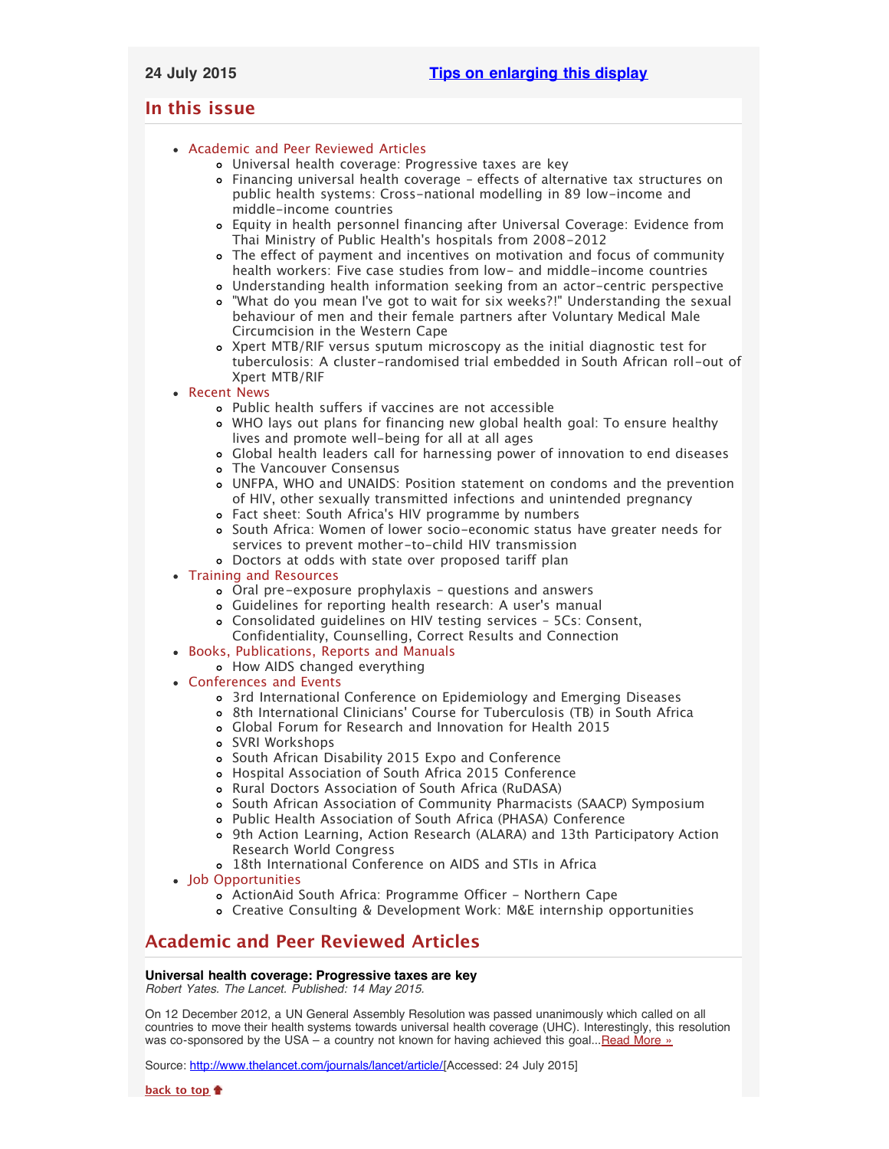# <span id="page-0-2"></span>**In this issue**

- [Academic and Peer Reviewed Articles](#page-0-0)
	- [Universal health coverage: Progressive taxes are key](#page-0-1)
	- [Financing universal health coverage effects of alternative tax structures on](#page-1-0) [public health systems: Cross-national modelling in 89 low-income and](#page-1-0) [middle-income countries](#page-1-0)
	- [Equity in health personnel financing after Universal Coverage: Evidence from](#page-1-1) Thai Ministry of Public Health['s hospitals from 2008-2012](#page-1-1)
	- [The effect of payment and incentives on motivation and focus of community](#page-1-2) [health workers: Five case studies from low- and middle-income countries](#page-1-2)
	- [Understanding health information seeking from an actor-centric perspective](#page-1-3)
	- "What do you mean I['ve got to wait for six weeks?!" Understanding the sexual](#page-1-4) [behaviour of men and their female partners after Voluntary Medical Male](#page-1-4) [Circumcision in the Western Cape](#page-1-4)
	- [Xpert MTB/RIF versus sputum microscopy as the initial diagnostic test for](#page-1-5) [tuberculosis: A cluster-randomised trial embedded in South African roll-out of](#page-1-5) [Xpert MTB/RIF](#page-1-5)

• [Recent News](#page-2-0)

- [Public health suffers if vaccines are not accessible](#page-2-1)
- [WHO lays out plans for financing new global health goal: To ensure healthy](#page-2-2) [lives and promote well-being for all at all ages](#page-2-2)
- [Global health leaders call for harnessing power of innovation to end diseases](#page-2-3)
- [The Vancouver Consensus](#page-2-4)
- [UNFPA, WHO and UNAIDS: Position statement on condoms and the prevention](#page-2-5) [of HIV, other sexually transmitted infections and unintended pregnancy](#page-2-5)
- Fact sheet: South Africa['s HIV programme by numbers](#page-2-6)
- [South Africa: Women of lower socio-economic status have greater needs for](#page-2-7) [services to prevent mother-to-child HIV transmission](#page-2-7)
- [Doctors at odds with state over proposed tariff plan](#page-3-0)
- [Training and Resources](#page-3-1)
	- [Oral pre-exposure prophylaxis questions and answers](#page-3-2)
	- [Guidelines for reporting health research: A user](#page-3-3)'s manual
	- [Consolidated guidelines on HIV testing services 5Cs: Consent,](#page-3-4) [Confidentiality, Counselling, Correct Results and Connection](#page-3-4)
- [Books, Publications, Reports and Manuals](#page-3-5)
	- [How AIDS changed everything](#page-3-6)
- [Conferences and Events](#page-3-7)
	- [3rd International Conference on Epidemiology and Emerging Diseases](#page-3-8)
	- 8th International Clinicians[' Course for Tuberculosis \(TB\) in South Africa](#page-3-9)
	- [Global Forum for Research and Innovation for Health 2015](#page-4-0)
	- [SVRI Workshops](#page-4-1)
	- o [South African Disability 2015 Expo and Conference](#page-4-2)
	- [Hospital Association of South Africa 2015 Conference](#page-4-3)
	- o [Rural Doctors Association of South Africa \(RuDASA\)](#page-4-4)
	- o [South African Association of Community Pharmacists \(SAACP\) Symposium](#page-4-5)
	- [Public Health Association of South Africa \(PHASA\) Conference](#page-4-6)
	- [9th Action Learning, Action Research \(ALARA\) and 13th Participatory Action](#page-5-0) [Research World Congress](#page-5-0)
	- [18th International Conference on AIDS and STIs in Africa](#page-5-1)
- [Job Opportunities](#page-5-2)
	- [ActionAid South Africa: Programme Officer Northern Cape](#page-5-3)
	- [Creative Consulting & Development Work: M&E internship opportunities](#page-5-4)

# <span id="page-0-0"></span>**Academic and Peer Reviewed Articles**

# <span id="page-0-1"></span>**Universal health coverage: Progressive taxes are key**

*Robert Yates. The Lancet. Published: 14 May 2015.*

On 12 December 2012, a UN General Assembly Resolution was passed unanimously which called on all countries to move their health systems towards universal health coverage (UHC). Interestingly, this resolution was co-sponsored by the USA – a country not known for having achieved this goal... Read More  $\frac{1}{2}$ 

Source: [http://www.thelancet.com/journals/lancet/article/\[](http://www.thelancet.com/journals/lancet/article/PIIS0140-6736%2815%2960868-6/fulltext?elsca1=etoc&elsca2=email&elsca3=0140-6736_20150718_386_9990_&elsca4=Public%20Health|Infectious%20Diseases|Health%20Policy|Internal%2FFamily%20Medicine|General%20Surgery|Lancet)Accessed: 24 July 2015]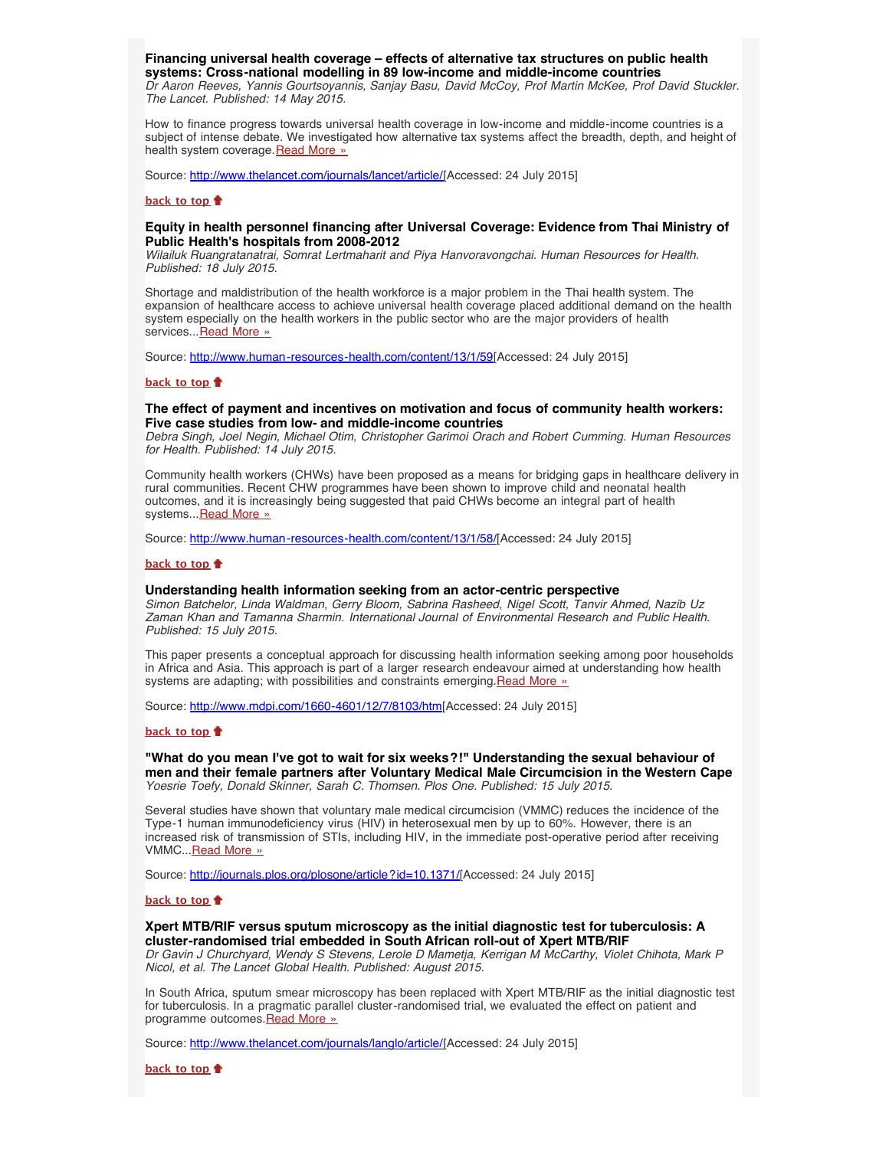## <span id="page-1-0"></span>**Financing universal health coverage – effects of alternative tax structures on public health systems: Cross-national modelling in 89 low-income and middle-income countries**

*Dr Aaron Reeves, Yannis Gourtsoyannis, Sanjay Basu, David McCoy, Prof Martin McKee, Prof David Stuckler. The Lancet. Published: 14 May 2015.*

How to finance progress towards universal health coverage in low-income and middle-income countries is a subject of intense debate. We investigated how alternative tax systems affect the breadth, depth, and height of health system coverage. [Read More »](http://www.thelancet.com/journals/lancet/article/PIIS0140-6736%2815%2960574-8/fulltext?elsca1=etoc&elsca2=email&elsca3=0140-6736_20150718_386_9990_&elsca4=Public%20Health|Infectious%20Diseases|Health%20Policy|Internal%2FFamily%20Medicine|General%20Surgery|Lancet)

Source: [http://www.thelancet.com/journals/lancet/article/\[](http://www.thelancet.com/journals/lancet/article/PIIS0140-6736%2815%2960574-8/fulltext?elsca1=etoc&elsca2=email&elsca3=0140-6736_20150718_386_9990_&elsca4=Public%20Health|Infectious%20Diseases|Health%20Policy|Internal%2FFamily%20Medicine|General%20Surgery|Lancet)Accessed: 24 July 2015]

#### **[back to top](#page-0-2)**

## <span id="page-1-1"></span>**Equity in health personnel financing after Universal Coverage: Evidence from Thai Ministry of Public Health's hospitals from 2008-2012**

*Wilailuk Ruangratanatrai, Somrat Lertmaharit and Piya Hanvoravongchai. Human Resources for Health. Published: 18 July 2015.*

Shortage and maldistribution of the health workforce is a major problem in the Thai health system. The expansion of healthcare access to achieve universal health coverage placed additional demand on the health system especially on the health workers in the public sector who are the major providers of health services... [Read More »](http://www.human-resources-health.com/content/13/1/59)

Source: <http://www.human-resources-health.com/content/13/1/59>[Accessed: 24 July 2015]

## **[back to top](#page-0-2)**

## <span id="page-1-2"></span>**The effect of payment and incentives on motivation and focus of community health workers: Five case studies from low- and middle-income countries**

*Debra Singh, Joel Negin, Michael Otim, Christopher Garimoi Orach and Robert Cumming. Human Resources for Health. Published: 14 July 2015.*

Community health workers (CHWs) have been proposed as a means for bridging gaps in healthcare delivery in rural communities. Recent CHW programmes have been shown to improve child and neonatal health outcomes, and it is increasingly being suggested that paid CHWs become an integral part of health systems... [Read More »](http://www.human-resources-health.com/content/13/1/58/)

Source: [http://www.human-resources-health.com/content/13/1/58/\[](http://www.human-resources-health.com/content/13/1/58/)Accessed: 24 July 2015]

#### **[back to top](#page-0-2)**

## <span id="page-1-3"></span>**Understanding health information seeking from an actor-centric perspective**

*Simon Batchelor, Linda Waldman, Gerry Bloom, Sabrina Rasheed, Nigel Scott, Tanvir Ahmed, Nazib Uz Zaman Khan and Tamanna Sharmin. International Journal of Environmental Research and Public Health. Published: 15 July 2015.*

This paper presents a conceptual approach for discussing health information seeking among poor households in Africa and Asia. This approach is part of a larger research endeavour aimed at understanding how health systems are adapting; with possibilities and constraints emerging. Read More »

Source: [http://www.mdpi.com/1660-4601/12/7/8103/htm\[](http://www.mdpi.com/1660-4601/12/7/8103/htm)Accessed: 24 July 2015]

## **[back to top](#page-0-2)**

<span id="page-1-4"></span>**"What do you mean I've got to wait for six weeks?!" Understanding the sexual behaviour of men and their female partners after Voluntary Medical Male Circumcision in the Western Cape** *Yoesrie Toefy, Donald Skinner, Sarah C. Thomsen. Plos One. Published: 15 July 2015.*

Several studies have shown that voluntary male medical circumcision (VMMC) reduces the incidence of the Type-1 human immunodeficiency virus (HIV) in heterosexual men by up to 60%. However, there is an increased risk of transmission of STIs, including HIV, in the immediate post-operative period after receiving VMMC..[.Read More »](http://journals.plos.org/plosone/article?id=10.1371/journal.pone.0133156)

Source: [http://journals.plos.org/plosone/article?id=10.1371/\[](http://journals.plos.org/plosone/article?id=10.1371/journal.pone.0133156)Accessed: 24 July 2015]

#### **[back to top](#page-0-2)**

## <span id="page-1-5"></span>**Xpert MTB/RIF versus sputum microscopy as the initial diagnostic test for tuberculosis: A cluster-randomised trial embedded in South African roll-out of Xpert MTB/RIF**

*Dr Gavin J Churchyard, Wendy S Stevens, Lerole D Mametja, Kerrigan M McCarthy, Violet Chihota, Mark P Nicol, et al. The Lancet Global Health. Published: August 2015.*

In South Africa, sputum smear microscopy has been replaced with Xpert MTB/RIF as the initial diagnostic test for tuberculosis. In a pragmatic parallel cluster-randomised trial, we evaluated the effect on patient and programme outcomes. Read More »

Source: [http://www.thelancet.com/journals/langlo/article/\[](http://www.thelancet.com/journals/langlo/article/PIIS2214-109X%2815%2900100-X/abstract)Accessed: 24 July 2015]

**[back to top](#page-0-2)**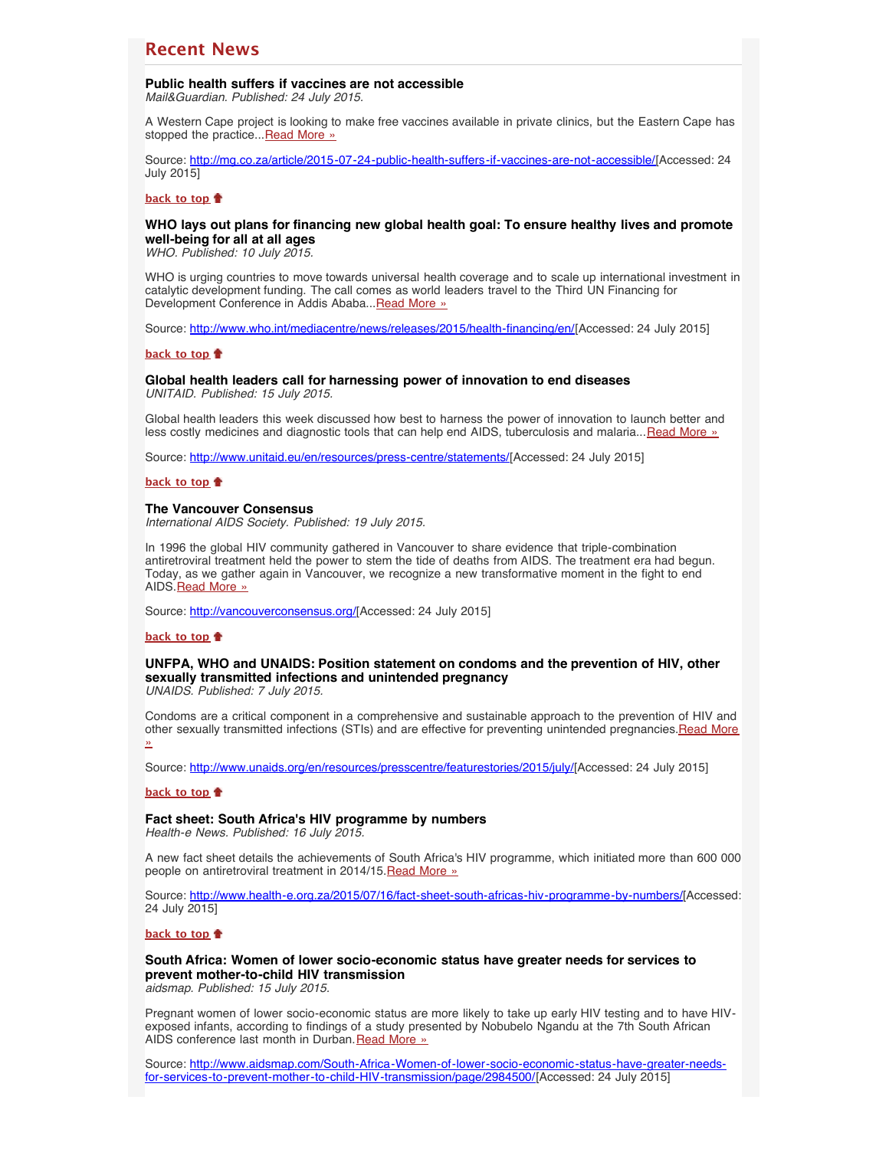# <span id="page-2-0"></span>**Recent News**

# <span id="page-2-1"></span>**Public health suffers if vaccines are not accessible**

*Mail&Guardian. Published: 24 July 2015.*

A Western Cape project is looking to make free vaccines available in private clinics, but the Eastern Cape has stopped the practice...[Read More »](http://www.hst.org.za/news/public-health-suffers-if-vaccines-are-not-accessible)

Source: [http://mg.co.za/article/2015-07-24-public-health-suffers-if-vaccines-are-not-accessible/\[](http://mg.co.za/article/2015-07-24-public-health-suffers-if-vaccines-are-not-accessible/)Accessed: 24 July 2015]

## **[back to top](#page-0-2)**

## <span id="page-2-2"></span>**WHO lays out plans for financing new global health goal: To ensure healthy lives and promote well-being for all at all ages**

*WHO. Published: 10 July 2015.*

WHO is urging countries to move towards universal health coverage and to scale up international investment in catalytic development funding. The call comes as world leaders travel to the Third UN Financing for Development Conference in Addis Ababa... [Read More »](http://www.hst.org.za/news/who-lays-out-plans-financing-new-global-health-goal-ensure-healthy-lives-and-promote-well-being)

Source: [http://www.who.int/mediacentre/news/releases/2015/health-financing/en/\[](http://www.who.int/mediacentre/news/releases/2015/health-financing/en/)Accessed: 24 July 2015]

## **[back to top](#page-0-2)**

### <span id="page-2-3"></span>**Global health leaders call for harnessing power of innovation to end diseases** *UNITAID. Published: 15 July 2015.*

Global health leaders this week discussed how best to harness the power of innovation to launch better and less costly medicines and diagnostic tools that can help end AIDS, tuberculosis and malaria... [Read More »](http://www.hst.org.za/news/global-health-leaders-call-harnessing-power-innovation-end-diseases)

Source: [http://www.unitaid.eu/en/resources/press-centre/statements/\[](http://www.unitaid.eu/en/resources/press-centre/statements/1461-global-health-leaders-call-for-harnessing-power-of-innovation-to-end-diseases)Accessed: 24 July 2015]

## **[back to top](#page-0-2)**

### <span id="page-2-4"></span>**The Vancouver Consensus**

*International AIDS Society. Published: 19 July 2015.*

In 1996 the global HIV community gathered in Vancouver to share evidence that triple-combination antiretroviral treatment held the power to stem the tide of deaths from AIDS. The treatment era had begun. Today, as we gather again in Vancouver, we recognize a new transformative moment in the fight to end AIDS.[Read More »](http://vancouverconsensus.org/)

Source: [http://vancouverconsensus.org/\[](http://vancouverconsensus.org/)Accessed: 24 July 2015]

## **[back to top](#page-0-2)**

# <span id="page-2-5"></span>**UNFPA, WHO and UNAIDS: Position statement on condoms and the prevention of HIV, other sexually transmitted infections and unintended pregnancy**

*UNAIDS. Published: 7 July 2015.*

Condoms are a critical component in a comprehensive and sustainable approach to the prevention of HIV and other sexually transmitted infections (STIs) and are effective for preventing unintended pregnancies.[Read More](http://www.hst.org.za/news/unfpa-who-and-unaids-position-statement-condoms-and-prevention-hiv-other-sexually-transmitted-i) [»](http://www.hst.org.za/news/unfpa-who-and-unaids-position-statement-condoms-and-prevention-hiv-other-sexually-transmitted-i)

Source: [http://www.unaids.org/en/resources/presscentre/featurestories/2015/july/\[](http://www.unaids.org/en/resources/presscentre/featurestories/2015/july/20150702_condoms_prevention)Accessed: 24 July 2015]

#### **[back to top](#page-0-2)**

## <span id="page-2-6"></span>**Fact sheet: South Africa's HIV programme by numbers**

*Health-e News. Published: 16 July 2015.*

A new fact sheet details the achievements of South Africa's HIV programme, which initiated more than 600 000 people on antiretroviral treatment in 2014/15. [Read More »](http://www.hst.org.za/news/fact-sheet-south-africa-s-hiv-programme-numbers)

Source: [http://www.health-e.org.za/2015/07/16/fact-sheet-south-africas-hiv-programme-by-numbers/\[](http://www.health-e.org.za/2015/07/16/fact-sheet-south-africas-hiv-programme-by-numbers/)Accessed: 24 July 2015]

## **[back to top](#page-0-2)**

# <span id="page-2-7"></span>**South Africa: Women of lower socio-economic status have greater needs for services to prevent mother-to-child HIV transmission**

*aidsmap. Published: 15 July 2015.*

Pregnant women of lower socio-economic status are more likely to take up early HIV testing and to have HIVexposed infants, according to findings of a study presented by Nobubelo Ngandu at the 7th South African AIDS conference last month in Durban. [Read More »](http://www.hst.org.za/news/south-africa-women-lower-socio-economic-status-have-greater-needs-services-prevent-mother-child)

Source: [http://www.aidsmap.com/South-Africa-Women-of-lower-socio-economic-status-have-greater-needs](http://www.aidsmap.com/South-Africa-Women-of-lower-socio-economic-status-have-greater-needs-for-services-to-prevent-mother-to-child-HIV-transmission/page/2984500/)[for-services-to-prevent-mother-to-child-HIV-transmission/page/2984500/](http://www.aidsmap.com/South-Africa-Women-of-lower-socio-economic-status-have-greater-needs-for-services-to-prevent-mother-to-child-HIV-transmission/page/2984500/)[Accessed: 24 July 2015]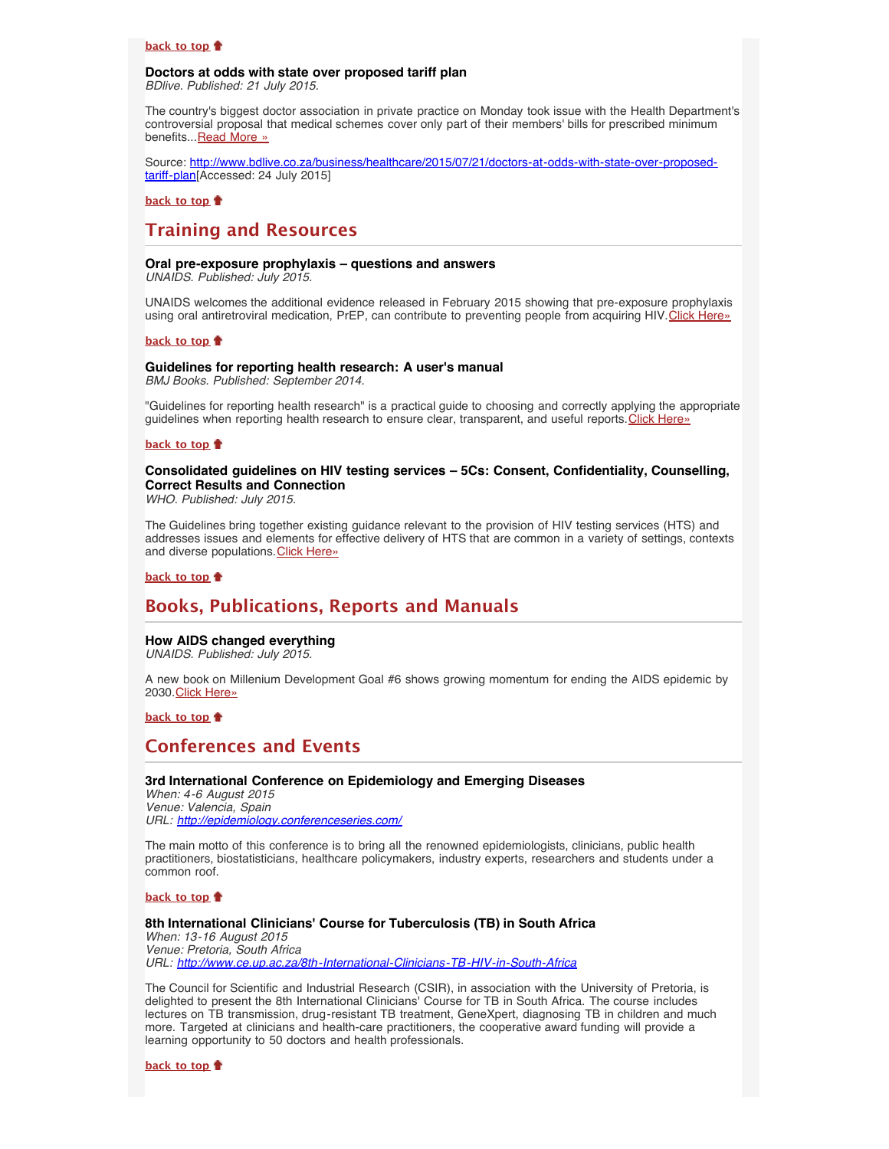## **[back to top](#page-0-2)**

### <span id="page-3-0"></span>**Doctors at odds with state over proposed tariff plan** *BDlive. Published: 21 July 2015.*

The country's biggest doctor association in private practice on Monday took issue with the Health Department's controversial proposal that medical schemes cover only part of their members' bills for prescribed minimum benefits... [Read More »](http://www.bdlive.co.za/business/healthcare/2015/07/21/doctors-at-odds-with-state-over-proposed-tariff-plan)

Source: [http://www.bdlive.co.za/business/healthcare/2015/07/21/doctors-at-odds-with-state-over-proposed](http://www.bdlive.co.za/business/healthcare/2015/07/21/doctors-at-odds-with-state-over-proposed-tariff-plan)[tariff-plan](http://www.bdlive.co.za/business/healthcare/2015/07/21/doctors-at-odds-with-state-over-proposed-tariff-plan)[Accessed: 24 July 2015]

# **[back to top](#page-0-2)**

# <span id="page-3-1"></span>**Training and Resources**

# <span id="page-3-2"></span>**Oral pre-exposure prophylaxis – questions and answers**

*UNAIDS. Published: July 2015.*

UNAIDS welcomes the additional evidence released in February 2015 showing that pre-exposure prophylaxis using oral antiretroviral medication, PrEP, can contribute to preventing people from acquiring HIV. [Click Here»](http://www.unaids.org/sites/default/files/media_asset/UNAIDS_JC2765_en.pdf)

## **[back to top](#page-0-2)**

# <span id="page-3-3"></span>**Guidelines for reporting health research: A user's manual**

*BMJ Books. Published: September 2014.*

"Guidelines for reporting health research" is a practical guide to choosing and correctly applying the appropriate guidelines when reporting health research to ensure clear, transparent, and useful reports. [Click Here»](http://eu.wiley.com/WileyCDA/WileyTitle/productCd-0470670444,descCd-buy.html)

## **[back to top](#page-0-2)**

## <span id="page-3-4"></span>**Consolidated guidelines on HIV testing services – 5Cs: Consent, Confidentiality, Counselling, Correct Results and Connection**

*WHO. Published: July 2015.*

The Guidelines bring together existing guidance relevant to the provision of HIV testing services (HTS) and addresses issues and elements for effective delivery of HTS that are common in a variety of settings, contexts and diverse populations. [Click Here»](http://apps.who.int/iris/bitstream/10665/179870/1/9789241508926_eng.pdf?ua=1&ua=1)

## **[back to top](#page-0-2)**

# <span id="page-3-5"></span>**Books, Publications, Reports and Manuals**

# <span id="page-3-6"></span>**How AIDS changed everything**

*UNAIDS. Published: July 2015.*

A new book on Millenium Development Goal #6 shows growing momentum for ending the AIDS epidemic by 2030.[Click Here»](http://www.unaids.org/sites/default/files/media_asset/MDG6Report_en.pdf)

**[back to top](#page-0-2)**

# <span id="page-3-7"></span>**Conferences and Events**

## <span id="page-3-8"></span>**3rd International Conference on Epidemiology and Emerging Diseases**

*When: 4-6 August 2015 Venue: Valencia, Spain URL: <http://epidemiology.conferenceseries.com/>*

The main motto of this conference is to bring all the renowned epidemiologists, clinicians, public health practitioners, biostatisticians, healthcare policymakers, industry experts, researchers and students under a common roof.

## **[back to top](#page-0-2)**

## <span id="page-3-9"></span>**8th International Clinicians' Course for Tuberculosis (TB) in South Africa**

*When: 13-16 August 2015 Venue: Pretoria, South Africa URL: <http://www.ce.up.ac.za/8th-International-Clinicians-TB-HIV-in-South-Africa>*

The Council for Scientific and Industrial Research (CSIR), in association with the University of Pretoria, is delighted to present the 8th International Clinicians' Course for TB in South Africa. The course includes lectures on TB transmission, drug-resistant TB treatment, GeneXpert, diagnosing TB in children and much more. Targeted at clinicians and health-care practitioners, the cooperative award funding will provide a learning opportunity to 50 doctors and health professionals.

**[back to top](#page-0-2)**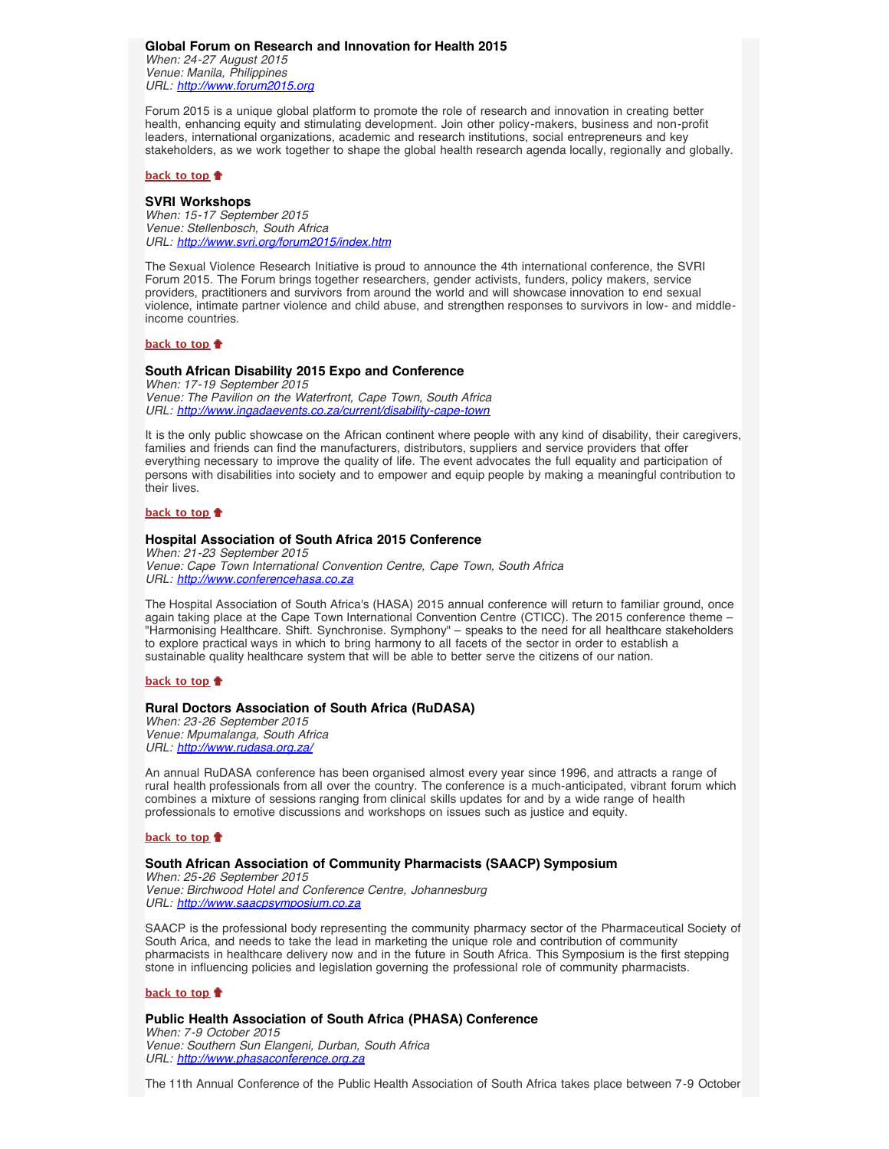<span id="page-4-0"></span>**Global Forum on Research and Innovation for Health 2015** *When: 24-27 August 2015 Venue: Manila, Philippines URL: [http://www.forum2015.org](http://www.forum2015.org/)*

Forum 2015 is a unique global platform to promote the role of research and innovation in creating better health, enhancing equity and stimulating development. Join other policy-makers, business and non-profit leaders, international organizations, academic and research institutions, social entrepreneurs and key stakeholders, as we work together to shape the global health research agenda locally, regionally and globally.

### **[back to top](#page-0-2)**

### <span id="page-4-1"></span>**SVRI Workshops**

*When: 15-17 September 2015 Venue: Stellenbosch, South Africa URL: <http://www.svri.org/forum2015/index.htm>*

The Sexual Violence Research Initiative is proud to announce the 4th international conference, the SVRI Forum 2015. The Forum brings together researchers, gender activists, funders, policy makers, service providers, practitioners and survivors from around the world and will showcase innovation to end sexual violence, intimate partner violence and child abuse, and strengthen responses to survivors in low- and middleincome countries.

## **[back to top](#page-0-2)**

#### <span id="page-4-2"></span>**South African Disability 2015 Expo and Conference**

*When: 17-19 September 2015 Venue: The Pavilion on the Waterfront, Cape Town, South Africa URL: <http://www.ingadaevents.co.za/current/disability-cape-town>*

It is the only public showcase on the African continent where people with any kind of disability, their caregivers, families and friends can find the manufacturers, distributors, suppliers and service providers that offer everything necessary to improve the quality of life. The event advocates the full equality and participation of persons with disabilities into society and to empower and equip people by making a meaningful contribution to their lives.

## **[back to top](#page-0-2)**

## <span id="page-4-3"></span>**Hospital Association of South Africa 2015 Conference**

*When: 21-23 September 2015 Venue: Cape Town International Convention Centre, Cape Town, South Africa URL: [http://www.conferencehasa.co.za](http://www.conferencehasa.co.za/)*

The Hospital Association of South Africa's (HASA) 2015 annual conference will return to familiar ground, once again taking place at the Cape Town International Convention Centre (CTICC). The 2015 conference theme – "Harmonising Healthcare. Shift. Synchronise. Symphony" – speaks to the need for all healthcare stakeholders to explore practical ways in which to bring harmony to all facets of the sector in order to establish a sustainable quality healthcare system that will be able to better serve the citizens of our nation.

## **[back to top](#page-0-2)**

## <span id="page-4-4"></span>**Rural Doctors Association of South Africa (RuDASA)**

*When: 23-26 September 2015 Venue: Mpumalanga, South Africa URL: <http://www.rudasa.org.za/>*

An annual RuDASA conference has been organised almost every year since 1996, and attracts a range of rural health professionals from all over the country. The conference is a much-anticipated, vibrant forum which combines a mixture of sessions ranging from clinical skills updates for and by a wide range of health professionals to emotive discussions and workshops on issues such as justice and equity.

#### **[back to top](#page-0-2)**

#### <span id="page-4-5"></span>**South African Association of Community Pharmacists (SAACP) Symposium**

*When: 25-26 September 2015 Venue: Birchwood Hotel and Conference Centre, Johannesburg URL: [http://www.saacpsymposium.co.za](http://www.saacpsymposium.co.za/)*

SAACP is the professional body representing the community pharmacy sector of the Pharmaceutical Society of South Arica, and needs to take the lead in marketing the unique role and contribution of community pharmacists in healthcare delivery now and in the future in South Africa. This Symposium is the first stepping stone in influencing policies and legislation governing the professional role of community pharmacists.

#### **[back to top](#page-0-2)**

## <span id="page-4-6"></span>**Public Health Association of South Africa (PHASA) Conference**

*When: 7-9 October 2015 Venue: Southern Sun Elangeni, Durban, South Africa URL: [http://www.phasaconference.org.za](http://www.phasaconference.org.za/)*

The 11th Annual Conference of the Public Health Association of South Africa takes place between 7-9 October